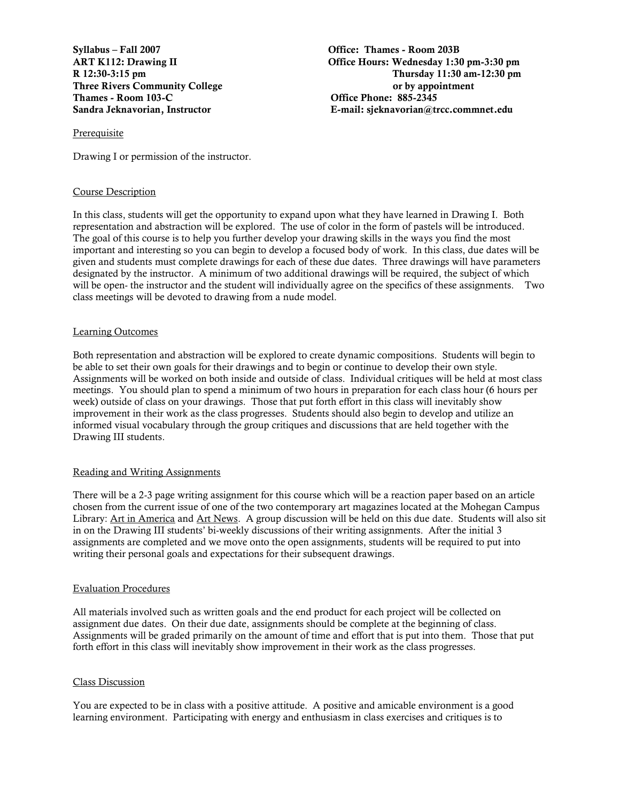Syllabus – Fall 2007 Office: Thames - Room 203B Thames - Room 103-C <br>
Communication Contract Communication Communication Communication Communication Communication Communication Communication Communication Communication Communication Communication Communication Communica

ART K112: Drawing II Office Hours: Wednesday 1:30 pm-3:30 pm R 12:30-3:15 pm Thursday 11:30 am-12:30 pm Three Rivers Community College **or by appointment** or by appointment Sandra Jeknavorian, Instructor E-mail: sjeknavorian@trcc.commnet.edu

#### Prerequisite

Drawing I or permission of the instructor.

#### Course Description

In this class, students will get the opportunity to expand upon what they have learned in Drawing I. Both representation and abstraction will be explored. The use of color in the form of pastels will be introduced. The goal of this course is to help you further develop your drawing skills in the ways you find the most important and interesting so you can begin to develop a focused body of work. In this class, due dates will be given and students must complete drawings for each of these due dates. Three drawings will have parameters designated by the instructor. A minimum of two additional drawings will be required, the subject of which will be open- the instructor and the student will individually agree on the specifics of these assignments. Two class meetings will be devoted to drawing from a nude model.

### Learning Outcomes

Both representation and abstraction will be explored to create dynamic compositions. Students will begin to be able to set their own goals for their drawings and to begin or continue to develop their own style. Assignments will be worked on both inside and outside of class. Individual critiques will be held at most class meetings. You should plan to spend a minimum of two hours in preparation for each class hour (6 hours per week) outside of class on your drawings. Those that put forth effort in this class will inevitably show improvement in their work as the class progresses. Students should also begin to develop and utilize an informed visual vocabulary through the group critiques and discussions that are held together with the Drawing III students.

#### Reading and Writing Assignments

There will be a 2-3 page writing assignment for this course which will be a reaction paper based on an article chosen from the current issue of one of the two contemporary art magazines located at the Mohegan Campus Library: Art in America and Art News. A group discussion will be held on this due date. Students will also sit in on the Drawing III students' bi-weekly discussions of their writing assignments. After the initial 3 assignments are completed and we move onto the open assignments, students will be required to put into writing their personal goals and expectations for their subsequent drawings.

#### Evaluation Procedures

All materials involved such as written goals and the end product for each project will be collected on assignment due dates. On their due date, assignments should be complete at the beginning of class. Assignments will be graded primarily on the amount of time and effort that is put into them. Those that put forth effort in this class will inevitably show improvement in their work as the class progresses.

### Class Discussion

You are expected to be in class with a positive attitude. A positive and amicable environment is a good learning environment. Participating with energy and enthusiasm in class exercises and critiques is to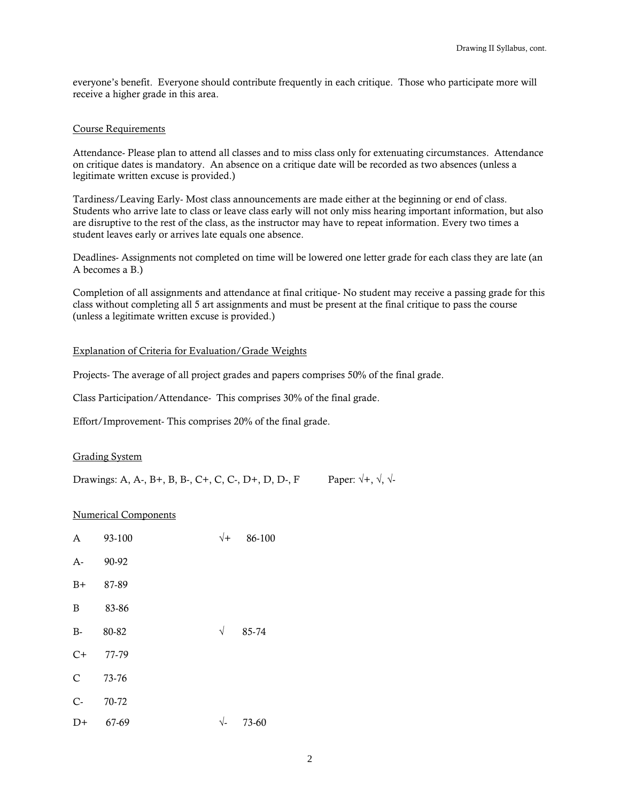everyone's benefit. Everyone should contribute frequently in each critique. Those who participate more will receive a higher grade in this area.

### Course Requirements

Attendance- Please plan to attend all classes and to miss class only for extenuating circumstances. Attendance on critique dates is mandatory. An absence on a critique date will be recorded as two absences (unless a legitimate written excuse is provided.)

Tardiness/Leaving Early- Most class announcements are made either at the beginning or end of class. Students who arrive late to class or leave class early will not only miss hearing important information, but also are disruptive to the rest of the class, as the instructor may have to repeat information. Every two times a student leaves early or arrives late equals one absence.

Deadlines- Assignments not completed on time will be lowered one letter grade for each class they are late (an A becomes a B.)

Completion of all assignments and attendance at final critique- No student may receive a passing grade for this class without completing all 5 art assignments and must be present at the final critique to pass the course (unless a legitimate written excuse is provided.)

## Explanation of Criteria for Evaluation/Grade Weights

Projects- The average of all project grades and papers comprises 50% of the final grade.

Class Participation/Attendance- This comprises 30% of the final grade.

Effort/Improvement- This comprises 20% of the final grade.

### Grading System

Drawings: A, A-, B+, B, B-, C+, C, C-, D+, D, D-, F Paper:  $\sqrt{+}$ ,  $\sqrt{}$ ,  $\sqrt{-}$ 

### Numerical Components

| A            | 93-100 | $\sqrt{+}$           | 86-100 |
|--------------|--------|----------------------|--------|
| $A-$         | 90-92  |                      |        |
| $B+$         | 87-89  |                      |        |
| $\mathbf B$  | 83-86  |                      |        |
| $B-$         | 80-82  | $\sqrt{}$            | 85-74  |
| $C+$         | 77-79  |                      |        |
| $\mathsf{C}$ | 73-76  |                      |        |
| $C -$        | 70-72  |                      |        |
| $D+$         | 67-69  | $\sqrt{\phantom{.}}$ | 73-60  |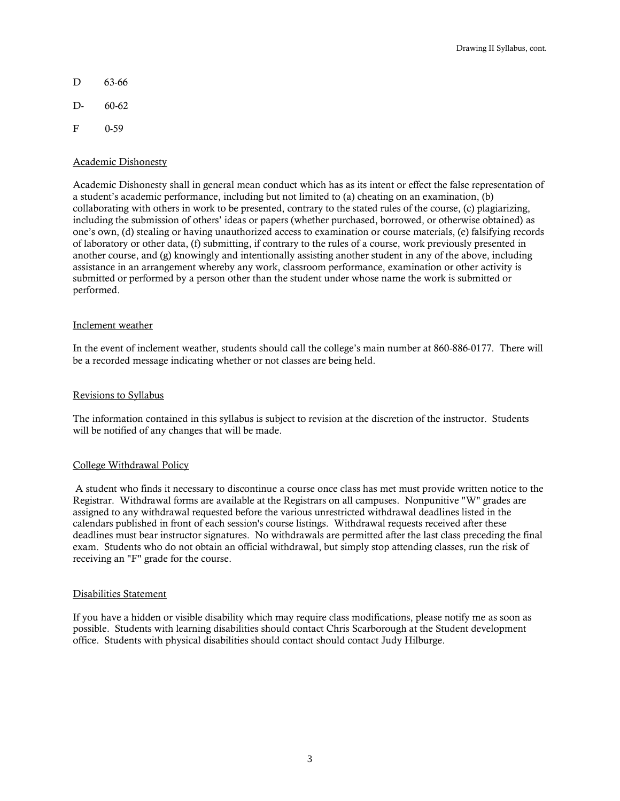- D 63-66
- D- 60-62
- F 0-59

### Academic Dishonesty

Academic Dishonesty shall in general mean conduct which has as its intent or effect the false representation of a student's academic performance, including but not limited to (a) cheating on an examination, (b) collaborating with others in work to be presented, contrary to the stated rules of the course, (c) plagiarizing, including the submission of others' ideas or papers (whether purchased, borrowed, or otherwise obtained) as one's own, (d) stealing or having unauthorized access to examination or course materials, (e) falsifying records of laboratory or other data, (f) submitting, if contrary to the rules of a course, work previously presented in another course, and (g) knowingly and intentionally assisting another student in any of the above, including assistance in an arrangement whereby any work, classroom performance, examination or other activity is submitted or performed by a person other than the student under whose name the work is submitted or performed.

### Inclement weather

In the event of inclement weather, students should call the college's main number at 860-886-0177. There will be a recorded message indicating whether or not classes are being held.

#### Revisions to Syllabus

The information contained in this syllabus is subject to revision at the discretion of the instructor. Students will be notified of any changes that will be made.

### College Withdrawal Policy

A student who finds it necessary to discontinue a course once class has met must provide written notice to the Registrar. Withdrawal forms are available at the Registrars on all campuses. Nonpunitive "W" grades are assigned to any withdrawal requested before the various unrestricted withdrawal deadlines listed in the calendars published in front of each session's course listings. Withdrawal requests received after these deadlines must bear instructor signatures. No withdrawals are permitted after the last class preceding the final exam. Students who do not obtain an official withdrawal, but simply stop attending classes, run the risk of receiving an "F" grade for the course.

#### Disabilities Statement

If you have a hidden or visible disability which may require class modifications, please notify me as soon as possible. Students with learning disabilities should contact Chris Scarborough at the Student development office. Students with physical disabilities should contact should contact Judy Hilburge.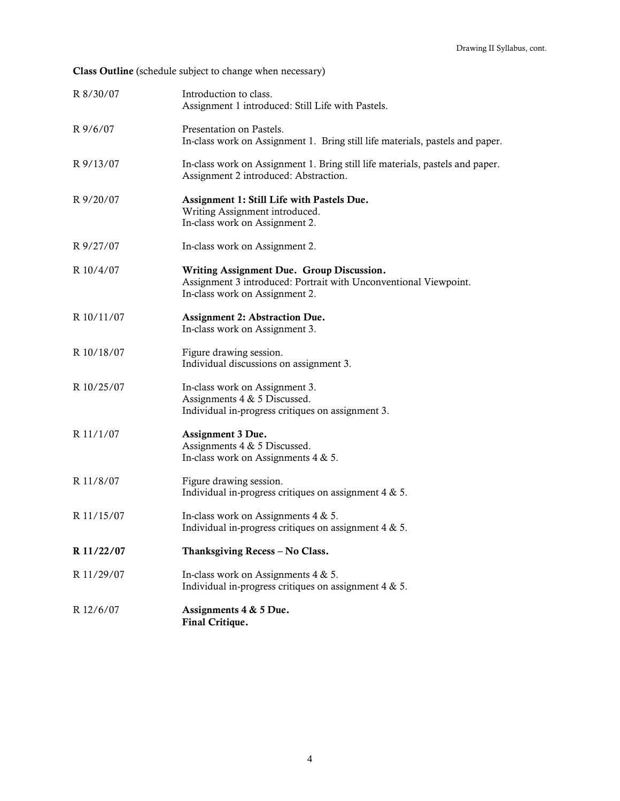Class Outline (schedule subject to change when necessary)

| R 8/30/07  | Introduction to class.<br>Assignment 1 introduced: Still Life with Pastels.                                                                     |
|------------|-------------------------------------------------------------------------------------------------------------------------------------------------|
| R9/6/07    | Presentation on Pastels.<br>In-class work on Assignment 1. Bring still life materials, pastels and paper.                                       |
| R 9/13/07  | In-class work on Assignment 1. Bring still life materials, pastels and paper.<br>Assignment 2 introduced: Abstraction.                          |
| R 9/20/07  | Assignment 1: Still Life with Pastels Due.<br>Writing Assignment introduced.<br>In-class work on Assignment 2.                                  |
| R 9/27/07  | In-class work on Assignment 2.                                                                                                                  |
| R 10/4/07  | Writing Assignment Due. Group Discussion.<br>Assignment 3 introduced: Portrait with Unconventional Viewpoint.<br>In-class work on Assignment 2. |
| R 10/11/07 | Assignment 2: Abstraction Due.<br>In-class work on Assignment 3.                                                                                |
| R 10/18/07 | Figure drawing session.<br>Individual discussions on assignment 3.                                                                              |
| R 10/25/07 | In-class work on Assignment 3.<br>Assignments 4 & 5 Discussed.<br>Individual in-progress critiques on assignment 3.                             |
| R 11/1/07  | Assignment 3 Due.<br>Assignments 4 & 5 Discussed.<br>In-class work on Assignments $4 & 5$ .                                                     |
| R 11/8/07  | Figure drawing session.<br>Individual in-progress critiques on assignment $4 & 5$ .                                                             |
| R 11/15/07 | In-class work on Assignments $4 & 5$ .<br>Individual in-progress critiques on assignment $4 & 5$ .                                              |
| R 11/22/07 | Thanksgiving Recess - No Class.                                                                                                                 |
| R 11/29/07 | In-class work on Assignments $4 & 5$ .<br>Individual in-progress critiques on assignment $4 & 5$ .                                              |
| R 12/6/07  | Assignments 4 & 5 Due.<br>Final Critique.                                                                                                       |